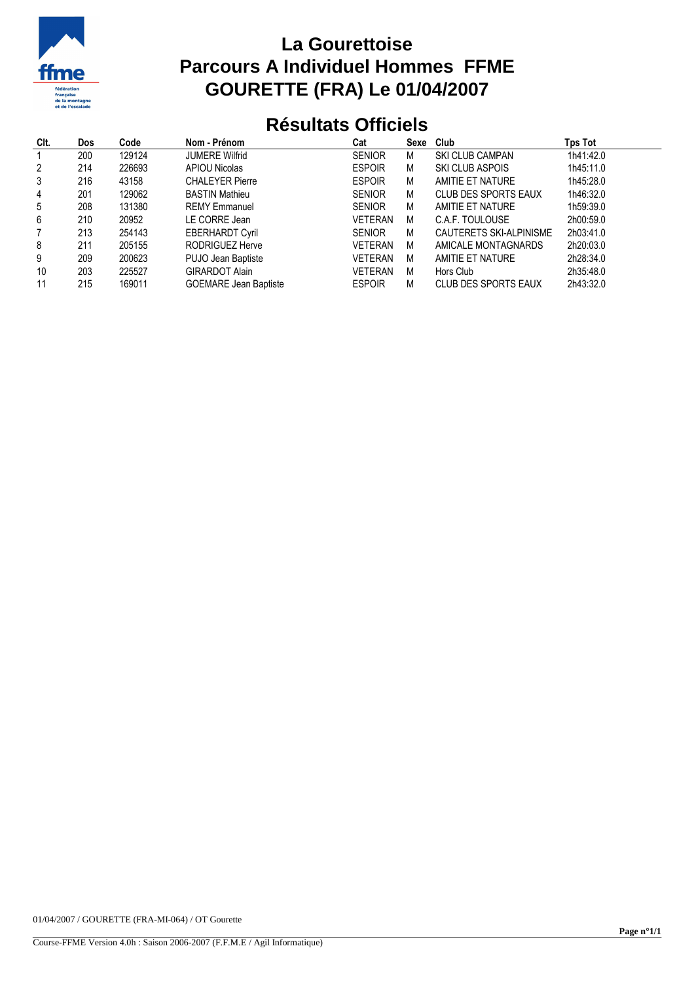

## **La Gourettoise Parcours A Individuel Hommes FFME GOURETTE (FRA) Le 01/04/2007**

## **Résultats Officiels**

| CIt.           | <b>Dos</b> | Code   | Nom - Prénom                 | Cat            | Sexe | Club                        | Tps Tot   |
|----------------|------------|--------|------------------------------|----------------|------|-----------------------------|-----------|
|                | 200        | 129124 | <b>JUMERE Wilfrid</b>        | <b>SENIOR</b>  | М    | <b>SKI CLUB CAMPAN</b>      | 1h41:42.0 |
| $\overline{2}$ | 214        | 226693 | <b>APIOU Nicolas</b>         | <b>ESPOIR</b>  | M    | SKI CLUB ASPOIS             | 1h45:11.0 |
| 3              | 216        | 43158  | <b>CHALEYER Pierre</b>       | <b>ESPOIR</b>  | M    | AMITIE ET NATURE            | 1h45:28.0 |
| 4              | 201        | 129062 | <b>BASTIN Mathieu</b>        | <b>SENIOR</b>  | M    | <b>CLUB DES SPORTS EAUX</b> | 1h46:32.0 |
| 5              | 208        | 131380 | <b>REMY Emmanuel</b>         | <b>SENIOR</b>  | M    | AMITIE ET NATURE            | 1h59:39.0 |
| 6              | 210        | 20952  | LE CORRE Jean                | VETERAN        | М    | C.A.F. TOULOUSE             | 2h00:59.0 |
| 7              | 213        | 254143 | <b>EBERHARDT Cyril</b>       | <b>SENIOR</b>  | M    | CAUTERETS SKI-ALPINISME     | 2h03:41.0 |
| 8              | 211        | 205155 | RODRIGUEZ Herve              | <b>VETERAN</b> | M    | AMICALE MONTAGNARDS         | 2h20:03.0 |
| 9              | 209        | 200623 | PUJO Jean Baptiste           | <b>VETERAN</b> | M    | AMITIE ET NATURE            | 2h28:34.0 |
| 10             | 203        | 225527 | <b>GIRARDOT Alain</b>        | VETERAN        | M    | Hors Club                   | 2h35:48.0 |
| 11             | 215        | 169011 | <b>GOEMARE Jean Baptiste</b> | <b>ESPOIR</b>  | М    | <b>CLUB DES SPORTS EAUX</b> | 2h43:32.0 |